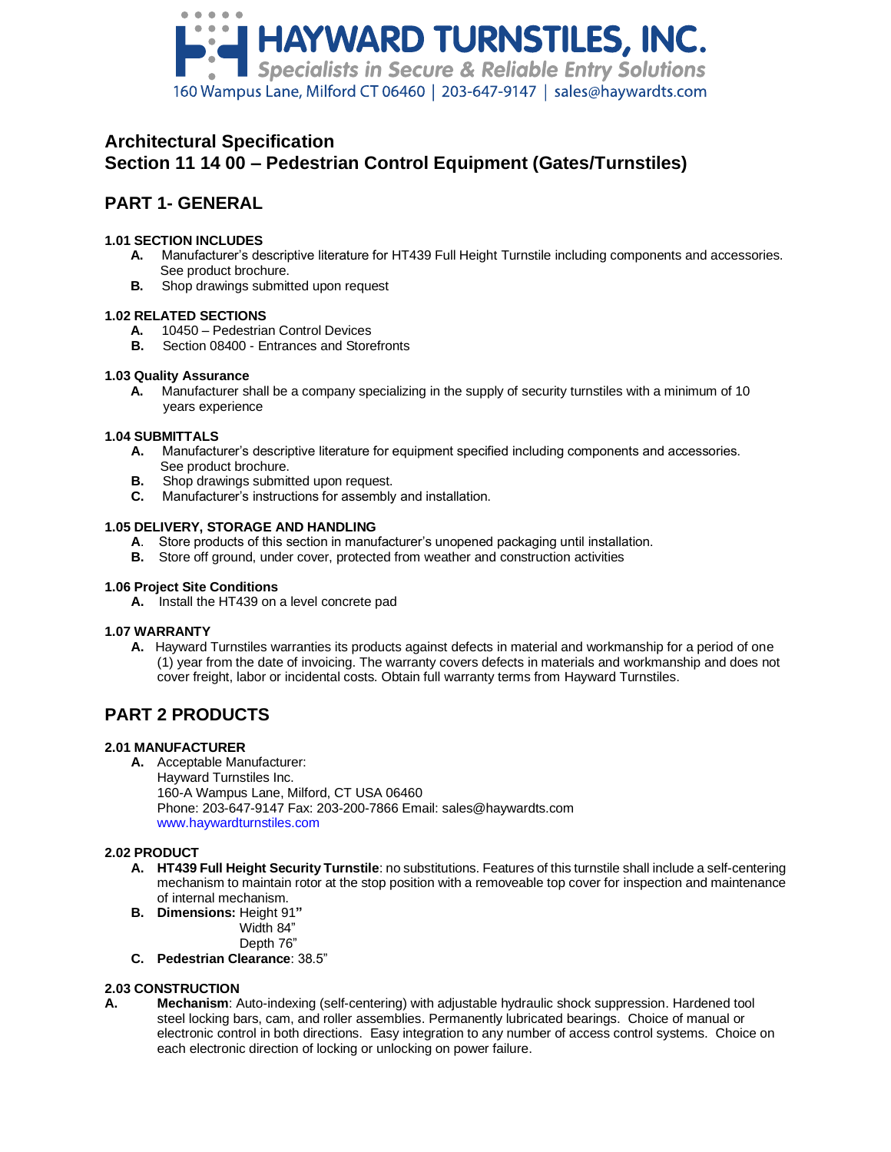

# **Architectural Specification Section 11 14 00 – Pedestrian Control Equipment (Gates/Turnstiles)**

# **PART 1- GENERAL**

## **1.01 SECTION INCLUDES**

- **A.** Manufacturer's descriptive literature for HT439 Full Height Turnstile including components and accessories. See product brochure.
- **B.** Shop drawings submitted upon request

## **1.02 RELATED SECTIONS**

- **A.** 10450 Pedestrian Control Devices
- **B.** Section 08400 Entrances and Storefronts

## **1.03 Quality Assurance**

 **A.** Manufacturer shall be a company specializing in the supply of security turnstiles with a minimum of 10 years experience

## **1.04 SUBMITTALS**

- **A.** Manufacturer's descriptive literature for equipment specified including components and accessories. See product brochure.
- **B.** Shop drawings submitted upon request.
- **C.** Manufacturer's instructions for assembly and installation.

## **1.05 DELIVERY, STORAGE AND HANDLING**

- **A**. Store products of this section in manufacturer's unopened packaging until installation.
- **B.** Store off ground, under cover, protected from weather and construction activities

#### **1.06 Project Site Conditions**

**A.** Install the HT439 on a level concrete pad

#### **1.07 WARRANTY**

**A.** Hayward Turnstiles warranties its products against defects in material and workmanship for a period of one (1) year from the date of invoicing. The warranty covers defects in materials and workmanship and does not cover freight, labor or incidental costs. Obtain full warranty terms from Hayward Turnstiles.

# **PART 2 PRODUCTS**

#### **2.01 MANUFACTURER**

**A.** Acceptable Manufacturer: Hayward Turnstiles Inc.

160-A Wampus Lane, Milford, CT USA 06460 Phone: 203-647-9147 Fax: 203-200-7866 Email: sales@haywardts.com www.haywardturnstiles.com

# **2.02 PRODUCT**

- **A. HT439 Full Height Security Turnstile**: no substitutions. Features of this turnstile shall include a self-centering mechanism to maintain rotor at the stop position with a removeable top cover for inspection and maintenance of internal mechanism.
- **B. Dimensions:** Height 91**"**
	- Width 84"
		- Depth 76"
- **C. Pedestrian Clearance**: 38.5"

# **2.03 CONSTRUCTION**

**A. Mechanism**: Auto-indexing (self-centering) with adjustable hydraulic shock suppression. Hardened tool steel locking bars, cam, and roller assemblies. Permanently lubricated bearings. Choice of manual or electronic control in both directions. Easy integration to any number of access control systems. Choice on each electronic direction of locking or unlocking on power failure.